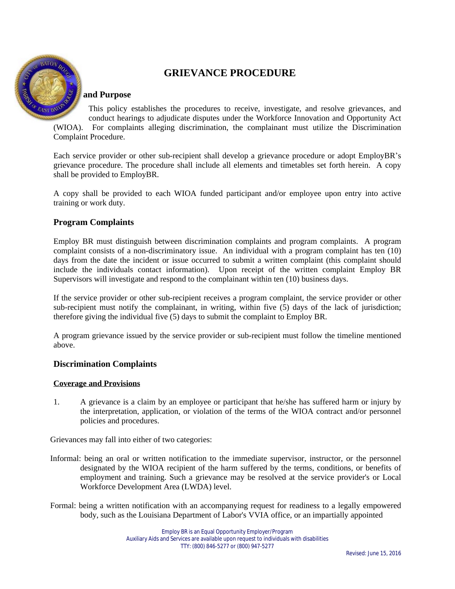

# **GRIEVANCE PROCEDURE**

## **Scope and Purpose**

This policy establishes the procedures to receive, investigate, and resolve grievances, and conduct hearings to adjudicate disputes under the Workforce Innovation and Opportunity Act (WIOA). For complaints alleging discrimination, the complainant must utilize the Discrimination Complaint Procedure.

Each service provider or other sub-recipient shall develop a grievance procedure or adopt EmployBR's grievance procedure. The procedure shall include all elements and timetables set forth herein. A copy shall be provided to EmployBR.

A copy shall be provided to each WIOA funded participant and/or employee upon entry into active training or work duty.

## **Program Complaints**

Employ BR must distinguish between discrimination complaints and program complaints. A program complaint consists of a non-discriminatory issue. An individual with a program complaint has ten (10) days from the date the incident or issue occurred to submit a written complaint (this complaint should include the individuals contact information). Upon receipt of the written complaint Employ BR Supervisors will investigate and respond to the complainant within ten (10) business days.

If the service provider or other sub-recipient receives a program complaint, the service provider or other sub-recipient must notify the complainant, in writing, within five (5) days of the lack of jurisdiction; therefore giving the individual five (5) days to submit the complaint to Employ BR.

A program grievance issued by the service provider or sub-recipient must follow the timeline mentioned above.

## **Discrimination Complaints**

#### **Coverage and Provisions**

1. A grievance is a claim by an employee or participant that he/she has suffered harm or injury by the interpretation, application, or violation of the terms of the WIOA contract and/or personnel policies and procedures.

Grievances may fall into either of two categories:

- Informal: being an oral or written notification to the immediate supervisor, instructor, or the personnel designated by the WIOA recipient of the harm suffered by the terms, conditions, or benefits of employment and training. Such a grievance may be resolved at the service provider's or Local Workforce Development Area (LWDA) level.
- Formal: being a written notification with an accompanying request for readiness to a legally empowered body, such as the Louisiana Department of Labor's VVIA office, or an impartially appointed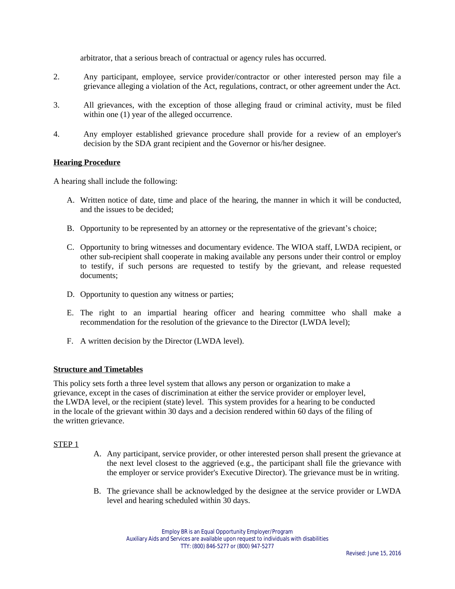arbitrator, that a serious breach of contractual or agency rules has occurred.

- 2. Any participant, employee, service provider/contractor or other interested person may file a grievance alleging a violation of the Act, regulations, contract, or other agreement under the Act.
- 3. All grievances, with the exception of those alleging fraud or criminal activity, must be filed within one  $(1)$  year of the alleged occurrence.
- 4. Any employer established grievance procedure shall provide for a review of an employer's decision by the SDA grant recipient and the Governor or his/her designee.

## **Hearing Procedure**

A hearing shall include the following:

- A. Written notice of date, time and place of the hearing, the manner in which it will be conducted, and the issues to be decided;
- B. Opportunity to be represented by an attorney or the representative of the grievant's choice;
- C. Opportunity to bring witnesses and documentary evidence. The WIOA staff, LWDA recipient, or other sub-recipient shall cooperate in making available any persons under their control or employ to testify, if such persons are requested to testify by the grievant, and release requested documents;
- D. Opportunity to question any witness or parties;
- E. The right to an impartial hearing officer and hearing committee who shall make a recommendation for the resolution of the grievance to the Director (LWDA level);
- F. A written decision by the Director (LWDA level).

#### **Structure and Timetables**

This policy sets forth a three level system that allows any person or organization to make a grievance, except in the cases of discrimination at either the service provider or employer level, the LWDA level, or the recipient (state) level. This system provides for a hearing to be conducted in the locale of the grievant within 30 days and a decision rendered within 60 days of the filing of the written grievance.

#### STEP 1

- A. Any participant, service provider, or other interested person shall present the grievance at the next level closest to the aggrieved (e.g., the participant shall file the grievance with the employer or service provider's Executive Director). The grievance must be in writing.
- B. The grievance shall be acknowledged by the designee at the service provider or LWDA level and hearing scheduled within 30 days.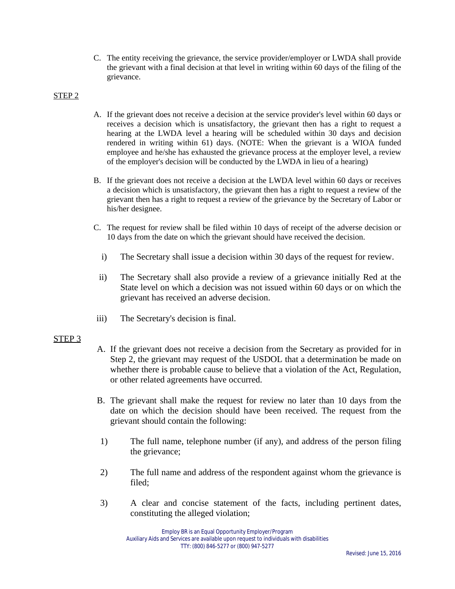C. The entity receiving the grievance, the service provider/employer or LWDA shall provide the grievant with a final decision at that level in writing within 60 days of the filing of the grievance.

## STEP 2

- A. If the grievant does not receive a decision at the service provider's level within 60 days or receives a decision which is unsatisfactory, the grievant then has a right to request a hearing at the LWDA level a hearing will be scheduled within 30 days and decision rendered in writing within 61) days. (NOTE: When the grievant is a WIOA funded employee and he/she has exhausted the grievance process at the employer level, a review of the employer's decision will be conducted by the LWDA in lieu of a hearing)
- B. If the grievant does not receive a decision at the LWDA level within 60 days or receives a decision which is unsatisfactory, the grievant then has a right to request a review of the grievant then has a right to request a review of the grievance by the Secretary of Labor or his/her designee.
- C. The request for review shall be filed within 10 days of receipt of the adverse decision or 10 days from the date on which the grievant should have received the decision.
	- i) The Secretary shall issue a decision within 30 days of the request for review.
	- ii) The Secretary shall also provide a review of a grievance initially Red at the State level on which a decision was not issued within 60 days or on which the grievant has received an adverse decision.
- iii) The Secretary's decision is final.

# STEP 3

- A. If the grievant does not receive a decision from the Secretary as provided for in Step 2, the grievant may request of the USDOL that a determination be made on whether there is probable cause to believe that a violation of the Act, Regulation, or other related agreements have occurred.
- B. The grievant shall make the request for review no later than 10 days from the date on which the decision should have been received. The request from the grievant should contain the following:
- 1) The full name, telephone number (if any), and address of the person filing the grievance;
- 2) The full name and address of the respondent against whom the grievance is filed;
- 3) A clear and concise statement of the facts, including pertinent dates, constituting the alleged violation;